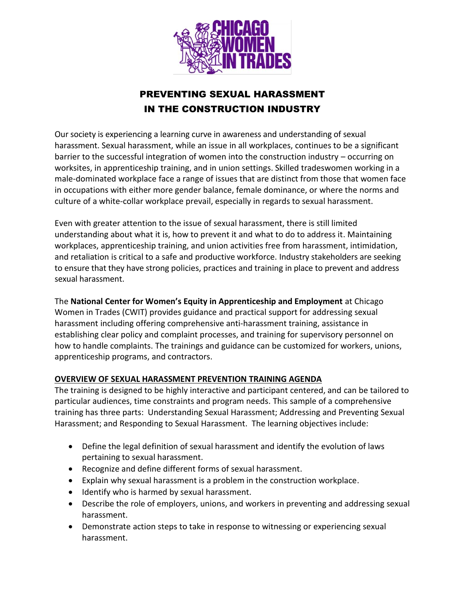

## PREVENTING SEXUAL HARASSMENT IN THE CONSTRUCTION INDUSTRY

Our society is experiencing a learning curve in awareness and understanding of sexual harassment. Sexual harassment, while an issue in all workplaces, continues to be a significant barrier to the successful integration of women into the construction industry – occurring on worksites, in apprenticeship training, and in union settings. Skilled tradeswomen working in a male-dominated workplace face a range of issues that are distinct from those that women face in occupations with either more gender balance, female dominance, or where the norms and culture of a white-collar workplace prevail, especially in regards to sexual harassment.

Even with greater attention to the issue of sexual harassment, there is still limited understanding about what it is, how to prevent it and what to do to address it. Maintaining workplaces, apprenticeship training, and union activities free from harassment, intimidation, and retaliation is critical to a safe and productive workforce. Industry stakeholders are seeking to ensure that they have strong policies, practices and training in place to prevent and address sexual harassment.

The **National Center for Women's Equity in Apprenticeship and Employment** at Chicago Women in Trades (CWIT) provides guidance and practical support for addressing sexual harassment including offering comprehensive anti-harassment training, assistance in establishing clear policy and complaint processes, and training for supervisory personnel on how to handle complaints. The trainings and guidance can be customized for workers, unions, apprenticeship programs, and contractors.

## **OVERVIEW OF SEXUAL HARASSMENT PREVENTION TRAINING AGENDA**

The training is designed to be highly interactive and participant centered, and can be tailored to particular audiences, time constraints and program needs. This sample of a comprehensive training has three parts: Understanding Sexual Harassment; Addressing and Preventing Sexual Harassment; and Responding to Sexual Harassment. The learning objectives include:

- Define the legal definition of sexual harassment and identify the evolution of laws pertaining to sexual harassment.
- Recognize and define different forms of sexual harassment.
- Explain why sexual harassment is a problem in the construction workplace.
- Identify who is harmed by sexual harassment.
- Describe the role of employers, unions, and workers in preventing and addressing sexual harassment.
- Demonstrate action steps to take in response to witnessing or experiencing sexual harassment.